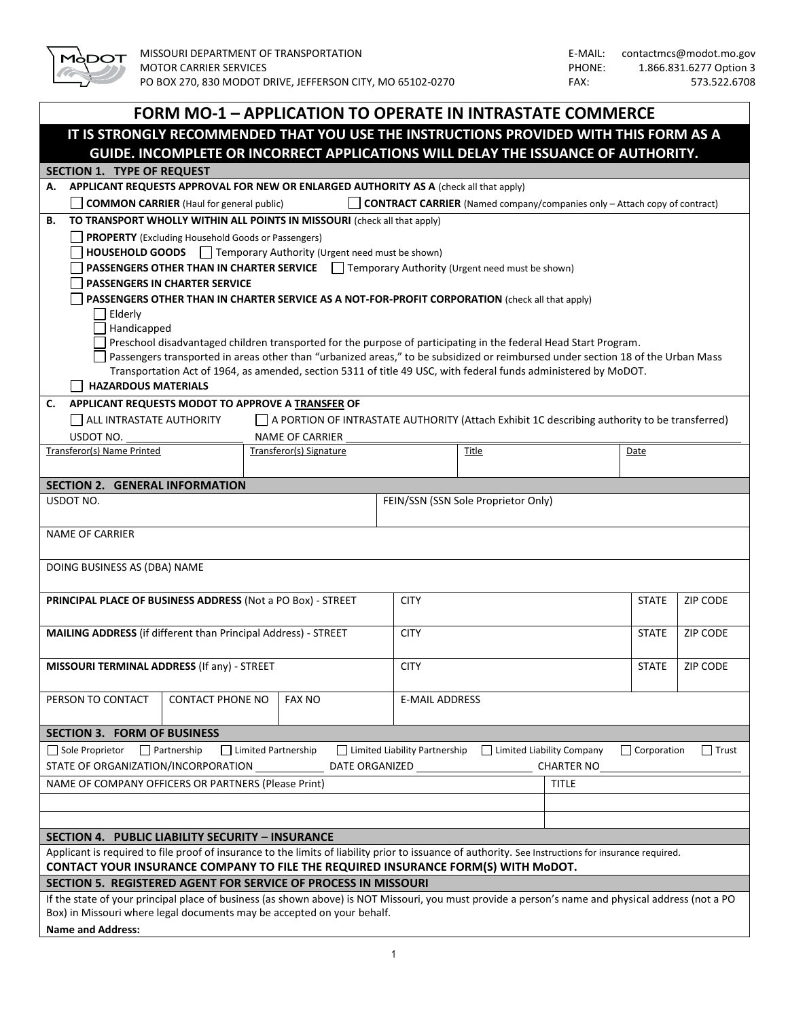

|                                                                                                                                                                            | <b>FORM MO-1 - APPLICATION TO OPERATE IN INTRASTATE COMMERCE</b>                             |                                 |                                                                                  |                                   |                    |                 |
|----------------------------------------------------------------------------------------------------------------------------------------------------------------------------|----------------------------------------------------------------------------------------------|---------------------------------|----------------------------------------------------------------------------------|-----------------------------------|--------------------|-----------------|
| IT IS STRONGLY RECOMMENDED THAT YOU USE THE INSTRUCTIONS PROVIDED WITH THIS FORM AS A<br>GUIDE. INCOMPLETE OR INCORRECT APPLICATIONS WILL DELAY THE ISSUANCE OF AUTHORITY. |                                                                                              |                                 |                                                                                  |                                   |                    |                 |
| <b>SECTION 1. TYPE OF REQUEST</b>                                                                                                                                          |                                                                                              |                                 |                                                                                  |                                   |                    |                 |
| APPLICANT REQUESTS APPROVAL FOR NEW OR ENLARGED AUTHORITY AS A (check all that apply)<br>А.                                                                                |                                                                                              |                                 |                                                                                  |                                   |                    |                 |
| <b>COMMON CARRIER</b> (Haul for general public)                                                                                                                            |                                                                                              |                                 | <b>CONTRACT CARRIER</b> (Named company/companies only - Attach copy of contract) |                                   |                    |                 |
| TO TRANSPORT WHOLLY WITHIN ALL POINTS IN MISSOURI (check all that apply)<br>В.                                                                                             |                                                                                              |                                 |                                                                                  |                                   |                    |                 |
| <b>PROPERTY</b> (Excluding Household Goods or Passengers)                                                                                                                  |                                                                                              |                                 |                                                                                  |                                   |                    |                 |
| HOUSEHOLD GOODS   Temporary Authority (Urgent need must be shown)                                                                                                          |                                                                                              |                                 |                                                                                  |                                   |                    |                 |
| PASSENGERS OTHER THAN IN CHARTER SERVICE   Temporary Authority (Urgent need must be shown)                                                                                 |                                                                                              |                                 |                                                                                  |                                   |                    |                 |
| <b>PASSENGERS IN CHARTER SERVICE</b>                                                                                                                                       |                                                                                              |                                 |                                                                                  |                                   |                    |                 |
| PASSENGERS OTHER THAN IN CHARTER SERVICE AS A NOT-FOR-PROFIT CORPORATION (check all that apply)                                                                            |                                                                                              |                                 |                                                                                  |                                   |                    |                 |
| $\Box$ Elderly<br>Handicapped                                                                                                                                              |                                                                                              |                                 |                                                                                  |                                   |                    |                 |
| Preschool disadvantaged children transported for the purpose of participating in the federal Head Start Program.                                                           |                                                                                              |                                 |                                                                                  |                                   |                    |                 |
| Passengers transported in areas other than "urbanized areas," to be subsidized or reimbursed under section 18 of the Urban Mass                                            |                                                                                              |                                 |                                                                                  |                                   |                    |                 |
| Transportation Act of 1964, as amended, section 5311 of title 49 USC, with federal funds administered by MoDOT.                                                            |                                                                                              |                                 |                                                                                  |                                   |                    |                 |
| <b>HAZARDOUS MATERIALS</b>                                                                                                                                                 |                                                                                              |                                 |                                                                                  |                                   |                    |                 |
| APPLICANT REQUESTS MODOT TO APPROVE A TRANSFER OF<br>C.                                                                                                                    |                                                                                              |                                 |                                                                                  |                                   |                    |                 |
| ALL INTRASTATE AUTHORITY                                                                                                                                                   | A PORTION OF INTRASTATE AUTHORITY (Attach Exhibit 1C describing authority to be transferred) |                                 |                                                                                  |                                   |                    |                 |
| USDOT NO.<br>Transferor(s) Name Printed                                                                                                                                    | <b>NAME OF CARRIER</b><br>Transferor(s) Signature                                            |                                 | Title                                                                            |                                   | Date               |                 |
|                                                                                                                                                                            |                                                                                              |                                 |                                                                                  |                                   |                    |                 |
| <b>SECTION 2. GENERAL INFORMATION</b>                                                                                                                                      |                                                                                              |                                 |                                                                                  |                                   |                    |                 |
| USDOT NO.                                                                                                                                                                  |                                                                                              |                                 | FEIN/SSN (SSN Sole Proprietor Only)                                              |                                   |                    |                 |
|                                                                                                                                                                            |                                                                                              |                                 |                                                                                  |                                   |                    |                 |
| <b>NAME OF CARRIER</b>                                                                                                                                                     |                                                                                              |                                 |                                                                                  |                                   |                    |                 |
|                                                                                                                                                                            |                                                                                              |                                 |                                                                                  |                                   |                    |                 |
| DOING BUSINESS AS (DBA) NAME                                                                                                                                               |                                                                                              |                                 |                                                                                  |                                   |                    |                 |
| PRINCIPAL PLACE OF BUSINESS ADDRESS (Not a PO Box) - STREET                                                                                                                |                                                                                              | <b>CITY</b>                     |                                                                                  |                                   | <b>STATE</b>       | <b>ZIP CODE</b> |
|                                                                                                                                                                            |                                                                                              |                                 |                                                                                  |                                   |                    |                 |
| MAILING ADDRESS (if different than Principal Address) - STREET                                                                                                             |                                                                                              | <b>CITY</b>                     |                                                                                  |                                   | <b>STATE</b>       | ZIP CODE        |
|                                                                                                                                                                            |                                                                                              |                                 |                                                                                  |                                   |                    |                 |
| MISSOURI TERMINAL ADDRESS (If any) - STREET                                                                                                                                |                                                                                              | <b>CITY</b>                     |                                                                                  |                                   | <b>STATE</b>       | ZIP CODE        |
|                                                                                                                                                                            |                                                                                              |                                 |                                                                                  |                                   |                    |                 |
| PERSON TO CONTACT<br><b>CONTACT PHONE NO</b>                                                                                                                               | <b>FAX NO</b>                                                                                | <b>E-MAIL ADDRESS</b>           |                                                                                  |                                   |                    |                 |
|                                                                                                                                                                            |                                                                                              |                                 |                                                                                  |                                   |                    |                 |
| <b>SECTION 3. FORM OF BUSINESS</b><br>$\Box$ Sole Proprietor                                                                                                               |                                                                                              | □ Limited Liability Partnership | $\Box$ Limited Liability Company                                                 |                                   | $\Box$ Corporation |                 |
| $\Box$ Partnership<br>STATE OF ORGANIZATION/INCORPORATION __                                                                                                               | □ Limited Partnership<br>DATE ORGANIZED                                                      |                                 |                                                                                  |                                   |                    | $\Box$ Trust    |
| NAME OF COMPANY OFFICERS OR PARTNERS (Please Print)                                                                                                                        |                                                                                              |                                 |                                                                                  | <b>CHARTER NO</b><br><b>TITLE</b> |                    |                 |
|                                                                                                                                                                            |                                                                                              |                                 |                                                                                  |                                   |                    |                 |
|                                                                                                                                                                            |                                                                                              |                                 |                                                                                  |                                   |                    |                 |
| SECTION 4. PUBLIC LIABILITY SECURITY - INSURANCE                                                                                                                           |                                                                                              |                                 |                                                                                  |                                   |                    |                 |
| Applicant is required to file proof of insurance to the limits of liability prior to issuance of authority. See Instructions for insurance required.                       |                                                                                              |                                 |                                                                                  |                                   |                    |                 |
| CONTACT YOUR INSURANCE COMPANY TO FILE THE REQUIRED INSURANCE FORM(S) WITH MODOT.                                                                                          |                                                                                              |                                 |                                                                                  |                                   |                    |                 |
| SECTION 5. REGISTERED AGENT FOR SERVICE OF PROCESS IN MISSOURI                                                                                                             |                                                                                              |                                 |                                                                                  |                                   |                    |                 |
| If the state of your principal place of business (as shown above) is NOT Missouri, you must provide a person's name and physical address (not a PO                         |                                                                                              |                                 |                                                                                  |                                   |                    |                 |
| Box) in Missouri where legal documents may be accepted on your behalf.                                                                                                     |                                                                                              |                                 |                                                                                  |                                   |                    |                 |

**Name and Address:**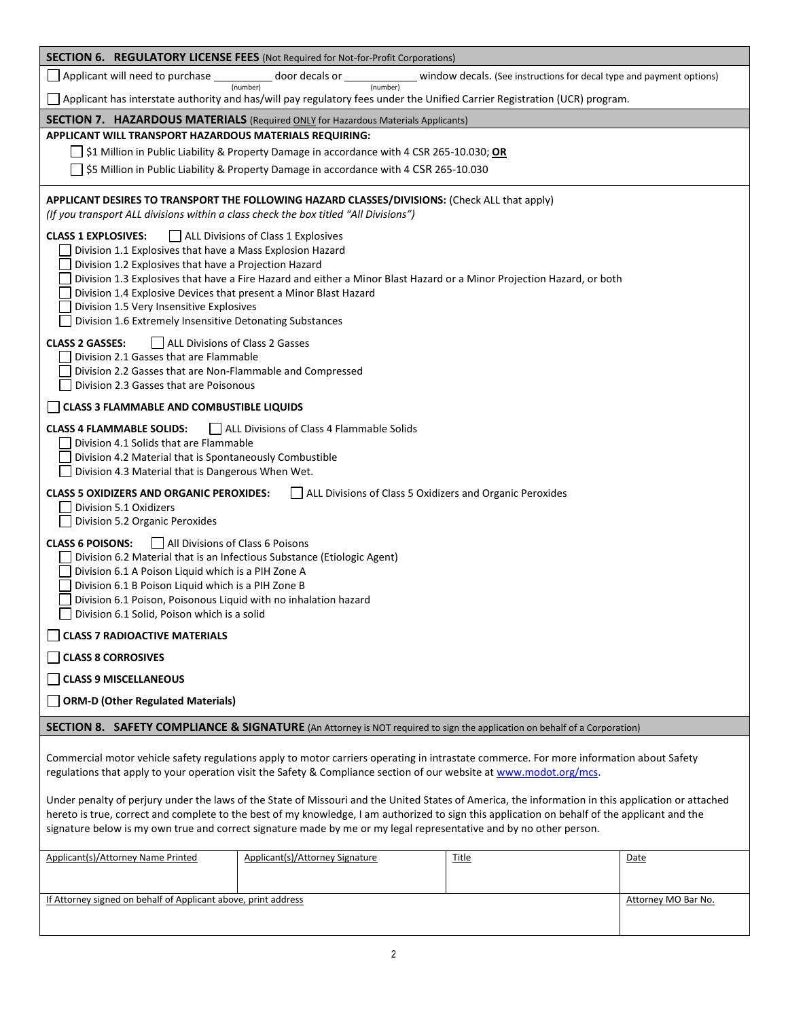| <b>SECTION 6. REGULATORY LICENSE FEES (Not Required for Not-for-Profit Corporations)</b>                                                                                                                                                                                                                                                                                                                                  |                                                                                          |                                                                                                                                                                                                                                                                |                     |
|---------------------------------------------------------------------------------------------------------------------------------------------------------------------------------------------------------------------------------------------------------------------------------------------------------------------------------------------------------------------------------------------------------------------------|------------------------------------------------------------------------------------------|----------------------------------------------------------------------------------------------------------------------------------------------------------------------------------------------------------------------------------------------------------------|---------------------|
| Applicant will need to purchase _____________ door decals or _____________                                                                                                                                                                                                                                                                                                                                                |                                                                                          | window decals. (See instructions for decal type and payment options)                                                                                                                                                                                           |                     |
|                                                                                                                                                                                                                                                                                                                                                                                                                           | (number)<br>(number)                                                                     | □ Applicant has interstate authority and has/will pay regulatory fees under the Unified Carrier Registration (UCR) program.                                                                                                                                    |                     |
| <b>SECTION 7. HAZARDOUS MATERIALS</b> (Required ONLY for Hazardous Materials Applicants)                                                                                                                                                                                                                                                                                                                                  |                                                                                          |                                                                                                                                                                                                                                                                |                     |
| APPLICANT WILL TRANSPORT HAZARDOUS MATERIALS REQUIRING:                                                                                                                                                                                                                                                                                                                                                                   |                                                                                          |                                                                                                                                                                                                                                                                |                     |
|                                                                                                                                                                                                                                                                                                                                                                                                                           | S1 Million in Public Liability & Property Damage in accordance with 4 CSR 265-10.030; OR |                                                                                                                                                                                                                                                                |                     |
|                                                                                                                                                                                                                                                                                                                                                                                                                           | \$5 Million in Public Liability & Property Damage in accordance with 4 CSR 265-10.030    |                                                                                                                                                                                                                                                                |                     |
| APPLICANT DESIRES TO TRANSPORT THE FOLLOWING HAZARD CLASSES/DIVISIONS: (Check ALL that apply)<br>(If you transport ALL divisions within a class check the box titled "All Divisions")                                                                                                                                                                                                                                     |                                                                                          |                                                                                                                                                                                                                                                                |                     |
| <b>CLASS 1 EXPLOSIVES:</b><br>Division 1.1 Explosives that have a Mass Explosion Hazard<br>Division 1.2 Explosives that have a Projection Hazard<br>Division 1.4 Explosive Devices that present a Minor Blast Hazard<br>Division 1.5 Very Insensitive Explosives<br>Division 1.6 Extremely Insensitive Detonating Substances                                                                                              | ALL Divisions of Class 1 Explosives                                                      | Division 1.3 Explosives that have a Fire Hazard and either a Minor Blast Hazard or a Minor Projection Hazard, or both                                                                                                                                          |                     |
| <b>CLASS 2 GASSES:</b><br>ALL Divisions of Class 2 Gasses<br>Division 2.1 Gasses that are Flammable<br>Division 2.2 Gasses that are Non-Flammable and Compressed<br>Division 2.3 Gasses that are Poisonous                                                                                                                                                                                                                |                                                                                          |                                                                                                                                                                                                                                                                |                     |
| CLASS 3 FLAMMABLE AND COMBUSTIBLE LIQUIDS                                                                                                                                                                                                                                                                                                                                                                                 |                                                                                          |                                                                                                                                                                                                                                                                |                     |
| <b>CLASS 4 FLAMMABLE SOLIDS:</b><br>Division 4.1 Solids that are Flammable<br>Division 4.2 Material that is Spontaneously Combustible<br>Division 4.3 Material that is Dangerous When Wet.                                                                                                                                                                                                                                | ALL Divisions of Class 4 Flammable Solids                                                |                                                                                                                                                                                                                                                                |                     |
| <b>CLASS 5 OXIDIZERS AND ORGANIC PEROXIDES:</b><br>Division 5.1 Oxidizers<br>Division 5.2 Organic Peroxides                                                                                                                                                                                                                                                                                                               |                                                                                          | ALL Divisions of Class 5 Oxidizers and Organic Peroxides                                                                                                                                                                                                       |                     |
| <b>CLASS 6 POISONS:</b><br>All Divisions of Class 6 Poisons<br>Division 6.1 A Poison Liquid which is a PIH Zone A<br>Division 6.1 B Poison Liquid which is a PIH Zone B<br>Division 6.1 Poison, Poisonous Liquid with no inhalation hazard<br>Division 6.1 Solid, Poison which is a solid                                                                                                                                 | Division 6.2 Material that is an Infectious Substance (Etiologic Agent)                  |                                                                                                                                                                                                                                                                |                     |
| <b>CLASS 7 RADIOACTIVE MATERIALS</b>                                                                                                                                                                                                                                                                                                                                                                                      |                                                                                          |                                                                                                                                                                                                                                                                |                     |
| <b>CLASS 8 CORROSIVES</b>                                                                                                                                                                                                                                                                                                                                                                                                 |                                                                                          |                                                                                                                                                                                                                                                                |                     |
| <b>CLASS 9 MISCELLANEOUS</b>                                                                                                                                                                                                                                                                                                                                                                                              |                                                                                          |                                                                                                                                                                                                                                                                |                     |
| <b>ORM-D (Other Regulated Materials)</b><br>$\mathsf{L}$                                                                                                                                                                                                                                                                                                                                                                  |                                                                                          |                                                                                                                                                                                                                                                                |                     |
|                                                                                                                                                                                                                                                                                                                                                                                                                           |                                                                                          |                                                                                                                                                                                                                                                                |                     |
|                                                                                                                                                                                                                                                                                                                                                                                                                           |                                                                                          | <b>SECTION 8. SAFETY COMPLIANCE &amp; SIGNATURE</b> (An Attorney is NOT required to sign the application on behalf of a Corporation)                                                                                                                           |                     |
|                                                                                                                                                                                                                                                                                                                                                                                                                           |                                                                                          | Commercial motor vehicle safety regulations apply to motor carriers operating in intrastate commerce. For more information about Safety<br>regulations that apply to your operation visit the Safety & Compliance section of our website at www.modot.org/mcs. |                     |
| Under penalty of perjury under the laws of the State of Missouri and the United States of America, the information in this application or attached<br>hereto is true, correct and complete to the best of my knowledge, I am authorized to sign this application on behalf of the applicant and the<br>signature below is my own true and correct signature made by me or my legal representative and by no other person. |                                                                                          |                                                                                                                                                                                                                                                                |                     |
| Applicant(s)/Attorney Name Printed                                                                                                                                                                                                                                                                                                                                                                                        | Applicant(s)/Attorney Signature                                                          | <b>Title</b>                                                                                                                                                                                                                                                   | Date                |
|                                                                                                                                                                                                                                                                                                                                                                                                                           |                                                                                          |                                                                                                                                                                                                                                                                |                     |
| If Attorney signed on behalf of Applicant above, print address                                                                                                                                                                                                                                                                                                                                                            |                                                                                          |                                                                                                                                                                                                                                                                | Attorney MO Bar No. |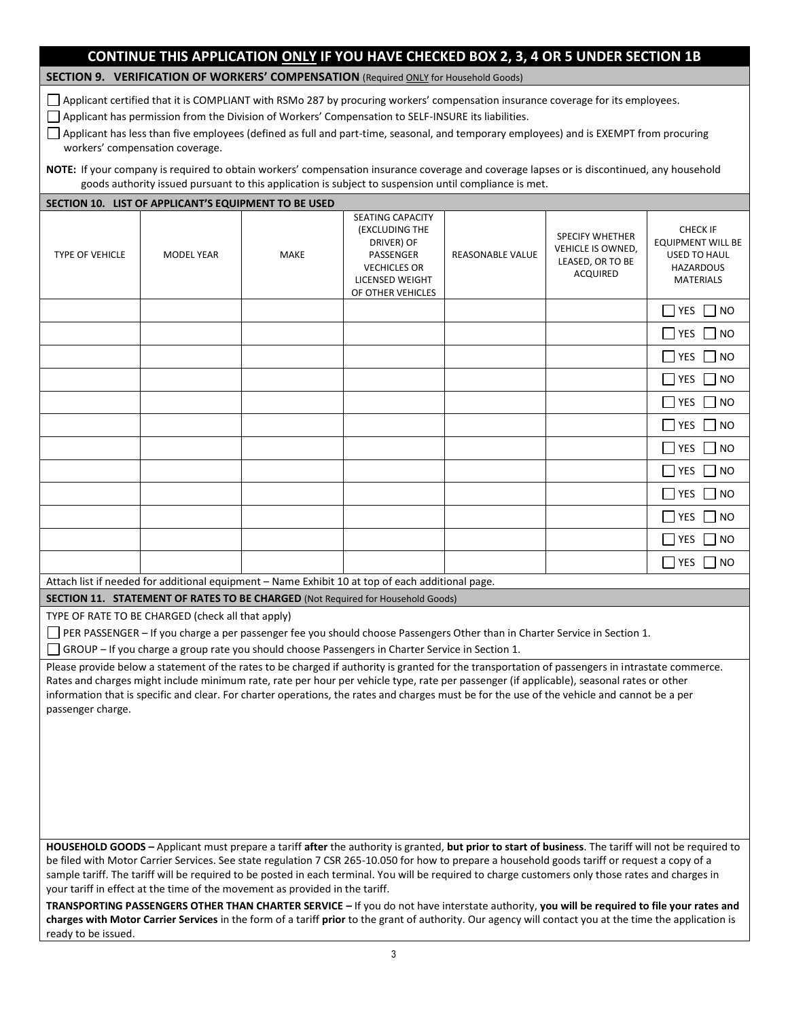# **CONTINUE THIS APPLICATION ONLY IF YOU HAVE CHECKED BOX 2, 3, 4 OR 5 UNDER SECTION 1B**

**SECTION 9. VERIFICATION OF WORKERS' COMPENSATION** (Required ONLY for Household Goods)

Applicant certified that it is COMPLIANT with RSMo 287 by procuring workers' compensation insurance coverage for its employees.

Applicant has permission from the Division of Workers' Compensation to SELF-INSURE its liabilities.

Applicant has less than five employees (defined as full and part-time, seasonal, and temporary employees) and is EXEMPT from procuring workers' compensation coverage.

**NOTE:** If your company is required to obtain workers' compensation insurance coverage and coverage lapses or is discontinued, any household goods authority issued pursuant to this application is subject to suspension until compliance is met.

|                        | SECTION 10. LIST OF APPLICANT'S EQUIPMENT TO BE USED                         |      |                                                                                                                                                                                                                                                                                                                                                                                                                                                                                                                                                                                                           |                         |                                                                                    |                                                                                                            |
|------------------------|------------------------------------------------------------------------------|------|-----------------------------------------------------------------------------------------------------------------------------------------------------------------------------------------------------------------------------------------------------------------------------------------------------------------------------------------------------------------------------------------------------------------------------------------------------------------------------------------------------------------------------------------------------------------------------------------------------------|-------------------------|------------------------------------------------------------------------------------|------------------------------------------------------------------------------------------------------------|
| <b>TYPE OF VEHICLE</b> | <b>MODEL YEAR</b>                                                            | MAKE | <b>SEATING CAPACITY</b><br>(EXCLUDING THE<br>DRIVER) OF<br>PASSENGER<br><b>VECHICLES OR</b><br>LICENSED WEIGHT<br>OF OTHER VEHICLES                                                                                                                                                                                                                                                                                                                                                                                                                                                                       | <b>REASONABLE VALUE</b> | <b>SPECIFY WHETHER</b><br>VEHICLE IS OWNED,<br>LEASED, OR TO BE<br><b>ACQUIRED</b> | <b>CHECK IF</b><br><b>EQUIPMENT WILL BE</b><br><b>USED TO HAUL</b><br><b>HAZARDOUS</b><br><b>MATERIALS</b> |
|                        |                                                                              |      |                                                                                                                                                                                                                                                                                                                                                                                                                                                                                                                                                                                                           |                         |                                                                                    | $\overline{\phantom{a}}$ YES<br> NO                                                                        |
|                        |                                                                              |      |                                                                                                                                                                                                                                                                                                                                                                                                                                                                                                                                                                                                           |                         |                                                                                    | $\overline{\phantom{a}}$ YES<br>$\Box$ NO                                                                  |
|                        |                                                                              |      |                                                                                                                                                                                                                                                                                                                                                                                                                                                                                                                                                                                                           |                         |                                                                                    | <b>YES</b><br>$\overline{\phantom{a}}$<br>NO                                                               |
|                        |                                                                              |      |                                                                                                                                                                                                                                                                                                                                                                                                                                                                                                                                                                                                           |                         |                                                                                    | YES<br><b>NO</b>                                                                                           |
|                        |                                                                              |      |                                                                                                                                                                                                                                                                                                                                                                                                                                                                                                                                                                                                           |                         |                                                                                    | <b>YES</b><br>$\overline{\phantom{a}}$<br>NO                                                               |
|                        |                                                                              |      |                                                                                                                                                                                                                                                                                                                                                                                                                                                                                                                                                                                                           |                         |                                                                                    | $\blacksquare$ YES<br><b>NO</b>                                                                            |
|                        |                                                                              |      |                                                                                                                                                                                                                                                                                                                                                                                                                                                                                                                                                                                                           |                         |                                                                                    | $\overline{\phantom{a}}$<br><b>YES</b><br><b>NO</b>                                                        |
|                        |                                                                              |      |                                                                                                                                                                                                                                                                                                                                                                                                                                                                                                                                                                                                           |                         |                                                                                    | $\Box$ YES<br>NO                                                                                           |
|                        |                                                                              |      |                                                                                                                                                                                                                                                                                                                                                                                                                                                                                                                                                                                                           |                         |                                                                                    | YES<br>$\overline{1}$<br>NO                                                                                |
|                        |                                                                              |      |                                                                                                                                                                                                                                                                                                                                                                                                                                                                                                                                                                                                           |                         |                                                                                    | $\overline{\phantom{a}}$ YES<br><b>NO</b>                                                                  |
|                        |                                                                              |      |                                                                                                                                                                                                                                                                                                                                                                                                                                                                                                                                                                                                           |                         |                                                                                    | YES<br><b>NO</b>                                                                                           |
|                        |                                                                              |      |                                                                                                                                                                                                                                                                                                                                                                                                                                                                                                                                                                                                           |                         |                                                                                    | $\overline{\phantom{a}}$ YES<br><b>NO</b>                                                                  |
|                        |                                                                              |      | Attach list if needed for additional equipment - Name Exhibit 10 at top of each additional page.                                                                                                                                                                                                                                                                                                                                                                                                                                                                                                          |                         |                                                                                    |                                                                                                            |
|                        |                                                                              |      | <b>SECTION 11. STATEMENT OF RATES TO BE CHARGED (Not Required for Household Goods)</b>                                                                                                                                                                                                                                                                                                                                                                                                                                                                                                                    |                         |                                                                                    |                                                                                                            |
|                        | TYPE OF RATE TO BE CHARGED (check all that apply)                            |      | PER PASSENGER - If you charge a per passenger fee you should choose Passengers Other than in Charter Service in Section 1.<br>GROUP - If you charge a group rate you should choose Passengers in Charter Service in Section 1.                                                                                                                                                                                                                                                                                                                                                                            |                         |                                                                                    |                                                                                                            |
| passenger charge.      |                                                                              |      | Please provide below a statement of the rates to be charged if authority is granted for the transportation of passengers in intrastate commerce.<br>Rates and charges might include minimum rate, rate per hour per vehicle type, rate per passenger (if applicable), seasonal rates or other<br>information that is specific and clear. For charter operations, the rates and charges must be for the use of the vehicle and cannot be a per                                                                                                                                                             |                         |                                                                                    |                                                                                                            |
|                        | your tariff in effect at the time of the movement as provided in the tariff. |      | HOUSEHOLD GOODS - Applicant must prepare a tariff after the authority is granted, but prior to start of business. The tariff will not be required to<br>be filed with Motor Carrier Services. See state regulation 7 CSR 265-10.050 for how to prepare a household goods tariff or request a copy of a<br>sample tariff. The tariff will be required to be posted in each terminal. You will be required to charge customers only those rates and charges in<br>TRANSPORTING PASSENGERS OTHER THAN CHARTER SERVICE - If you do not have interstate authority, you will be required to file your rates and |                         |                                                                                    |                                                                                                            |
|                        |                                                                              |      | charges with Motor Carrier Services in the form of a tariff prior to the grant of authority. Our agency will contact you at the time the application is                                                                                                                                                                                                                                                                                                                                                                                                                                                   |                         |                                                                                    |                                                                                                            |

ready to be issued.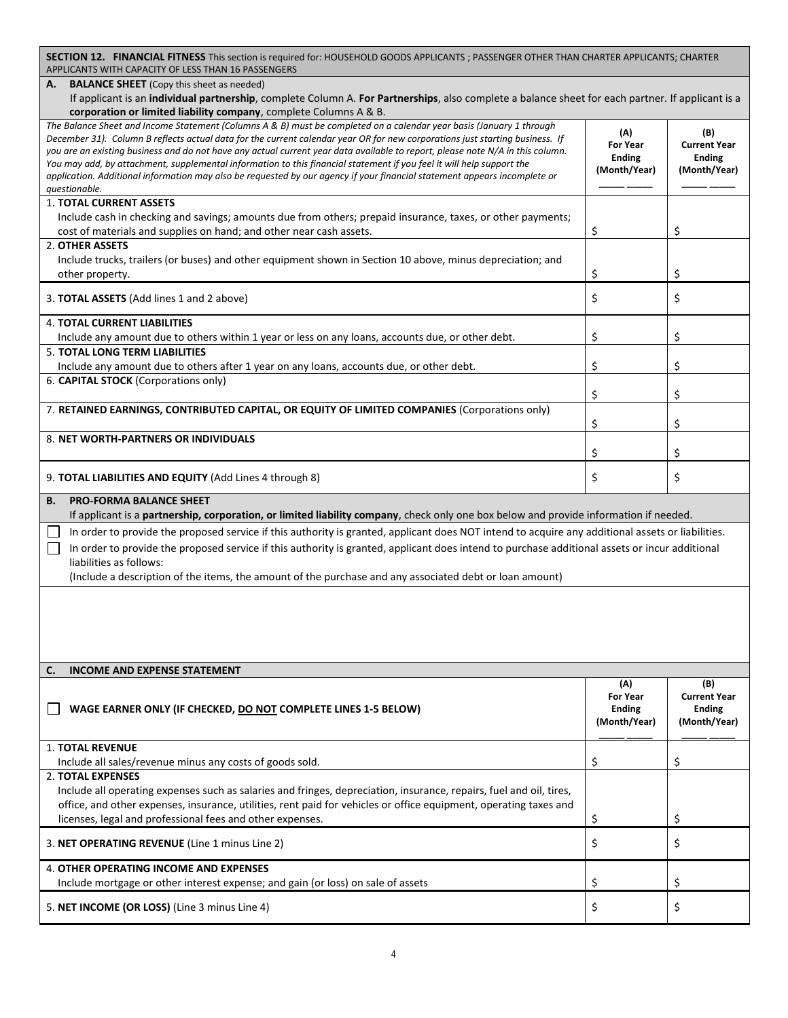| <b>SECTION 12. FINANCIAL FITNESS</b> This section is required for: HOUSEHOLD GOODS APPLICANTS; PASSENGER OTHER THAN CHARTER APPLICANTS; CHARTER<br>APPLICANTS WITH CAPACITY OF LESS THAN 16 PASSENGERS                                                                                                                                                                                                                                                                                                                                                                                                                                                                                                                             |                                                                 |                                                             |
|------------------------------------------------------------------------------------------------------------------------------------------------------------------------------------------------------------------------------------------------------------------------------------------------------------------------------------------------------------------------------------------------------------------------------------------------------------------------------------------------------------------------------------------------------------------------------------------------------------------------------------------------------------------------------------------------------------------------------------|-----------------------------------------------------------------|-------------------------------------------------------------|
| <b>BALANCE SHEET</b> (Copy this sheet as needed)<br>А.                                                                                                                                                                                                                                                                                                                                                                                                                                                                                                                                                                                                                                                                             |                                                                 |                                                             |
| If applicant is an individual partnership, complete Column A. For Partnerships, also complete a balance sheet for each partner. If applicant is a                                                                                                                                                                                                                                                                                                                                                                                                                                                                                                                                                                                  |                                                                 |                                                             |
| corporation or limited liability company, complete Columns A & B.<br>The Balance Sheet and Income Statement (Columns A & B) must be completed on a calendar year basis (January 1 through<br>December 31). Column B reflects actual data for the current calendar year OR for new corporations just starting business. If<br>you are an existing business and do not have any actual current year data available to report, please note N/A in this column.<br>You may add, by attachment, supplemental information to this financial statement if you feel it will help support the<br>application. Additional information may also be requested by our agency if your financial statement appears incomplete or<br>questionable. | (A)<br><b>For Year</b><br><b>Ending</b><br>(Month/Year)         | (B)<br><b>Current Year</b><br><b>Ending</b><br>(Month/Year) |
| <b>1. TOTAL CURRENT ASSETS</b><br>Include cash in checking and savings; amounts due from others; prepaid insurance, taxes, or other payments;<br>cost of materials and supplies on hand; and other near cash assets.                                                                                                                                                                                                                                                                                                                                                                                                                                                                                                               | \$                                                              | \$                                                          |
| 2. OTHER ASSETS<br>Include trucks, trailers (or buses) and other equipment shown in Section 10 above, minus depreciation; and<br>other property.                                                                                                                                                                                                                                                                                                                                                                                                                                                                                                                                                                                   | \$                                                              | \$                                                          |
| 3. TOTAL ASSETS (Add lines 1 and 2 above)                                                                                                                                                                                                                                                                                                                                                                                                                                                                                                                                                                                                                                                                                          | \$                                                              | \$                                                          |
| <b>4. TOTAL CURRENT LIABILITIES</b><br>Include any amount due to others within 1 year or less on any loans, accounts due, or other debt.                                                                                                                                                                                                                                                                                                                                                                                                                                                                                                                                                                                           | \$                                                              | \$                                                          |
| <b>5. TOTAL LONG TERM LIABILITIES</b><br>Include any amount due to others after 1 year on any loans, accounts due, or other debt.                                                                                                                                                                                                                                                                                                                                                                                                                                                                                                                                                                                                  | \$                                                              | \$                                                          |
| 6. CAPITAL STOCK (Corporations only)                                                                                                                                                                                                                                                                                                                                                                                                                                                                                                                                                                                                                                                                                               |                                                                 |                                                             |
| 7. RETAINED EARNINGS, CONTRIBUTED CAPITAL, OR EQUITY OF LIMITED COMPANIES (Corporations only)                                                                                                                                                                                                                                                                                                                                                                                                                                                                                                                                                                                                                                      | \$                                                              | \$                                                          |
| 8. NET WORTH-PARTNERS OR INDIVIDUALS                                                                                                                                                                                                                                                                                                                                                                                                                                                                                                                                                                                                                                                                                               | \$                                                              | \$                                                          |
|                                                                                                                                                                                                                                                                                                                                                                                                                                                                                                                                                                                                                                                                                                                                    | \$                                                              | \$                                                          |
| 9. TOTAL LIABILITIES AND EQUITY (Add Lines 4 through 8)                                                                                                                                                                                                                                                                                                                                                                                                                                                                                                                                                                                                                                                                            | \$                                                              | \$                                                          |
|                                                                                                                                                                                                                                                                                                                                                                                                                                                                                                                                                                                                                                                                                                                                    |                                                                 |                                                             |
| <b>B.</b><br><b>PRO-FORMA BALANCE SHEET</b><br>If applicant is a partnership, corporation, or limited liability company, check only one box below and provide information if needed.                                                                                                                                                                                                                                                                                                                                                                                                                                                                                                                                               |                                                                 |                                                             |
| In order to provide the proposed service if this authority is granted, applicant does NOT intend to acquire any additional assets or liabilities.                                                                                                                                                                                                                                                                                                                                                                                                                                                                                                                                                                                  |                                                                 |                                                             |
| In order to provide the proposed service if this authority is granted, applicant does intend to purchase additional assets or incur additional                                                                                                                                                                                                                                                                                                                                                                                                                                                                                                                                                                                     |                                                                 |                                                             |
| liabilities as follows:<br>(Include a description of the items, the amount of the purchase and any associated debt or loan amount)                                                                                                                                                                                                                                                                                                                                                                                                                                                                                                                                                                                                 |                                                                 |                                                             |
|                                                                                                                                                                                                                                                                                                                                                                                                                                                                                                                                                                                                                                                                                                                                    |                                                                 |                                                             |
| C.<br><b>INCOME AND EXPENSE STATEMENT</b>                                                                                                                                                                                                                                                                                                                                                                                                                                                                                                                                                                                                                                                                                          |                                                                 |                                                             |
| WAGE EARNER ONLY (IF CHECKED, DO NOT COMPLETE LINES 1-5 BELOW)                                                                                                                                                                                                                                                                                                                                                                                                                                                                                                                                                                                                                                                                     | $(\Lambda)$<br><b>For Year</b><br><b>Ending</b><br>(Month/Year) | (B)<br><b>Current Year</b><br><b>Ending</b><br>(Month/Year) |
| <b>1. TOTAL REVENUE</b><br>Include all sales/revenue minus any costs of goods sold.                                                                                                                                                                                                                                                                                                                                                                                                                                                                                                                                                                                                                                                | \$                                                              | \$                                                          |
| <b>2. TOTAL EXPENSES</b>                                                                                                                                                                                                                                                                                                                                                                                                                                                                                                                                                                                                                                                                                                           |                                                                 |                                                             |
| Include all operating expenses such as salaries and fringes, depreciation, insurance, repairs, fuel and oil, tires,<br>office, and other expenses, insurance, utilities, rent paid for vehicles or office equipment, operating taxes and<br>licenses, legal and professional fees and other expenses.                                                                                                                                                                                                                                                                                                                                                                                                                              | \$                                                              | \$                                                          |
| 3. NET OPERATING REVENUE (Line 1 minus Line 2)                                                                                                                                                                                                                                                                                                                                                                                                                                                                                                                                                                                                                                                                                     | \$                                                              | \$                                                          |
| <b>4. OTHER OPERATING INCOME AND EXPENSES</b><br>Include mortgage or other interest expense; and gain (or loss) on sale of assets                                                                                                                                                                                                                                                                                                                                                                                                                                                                                                                                                                                                  | \$                                                              | \$                                                          |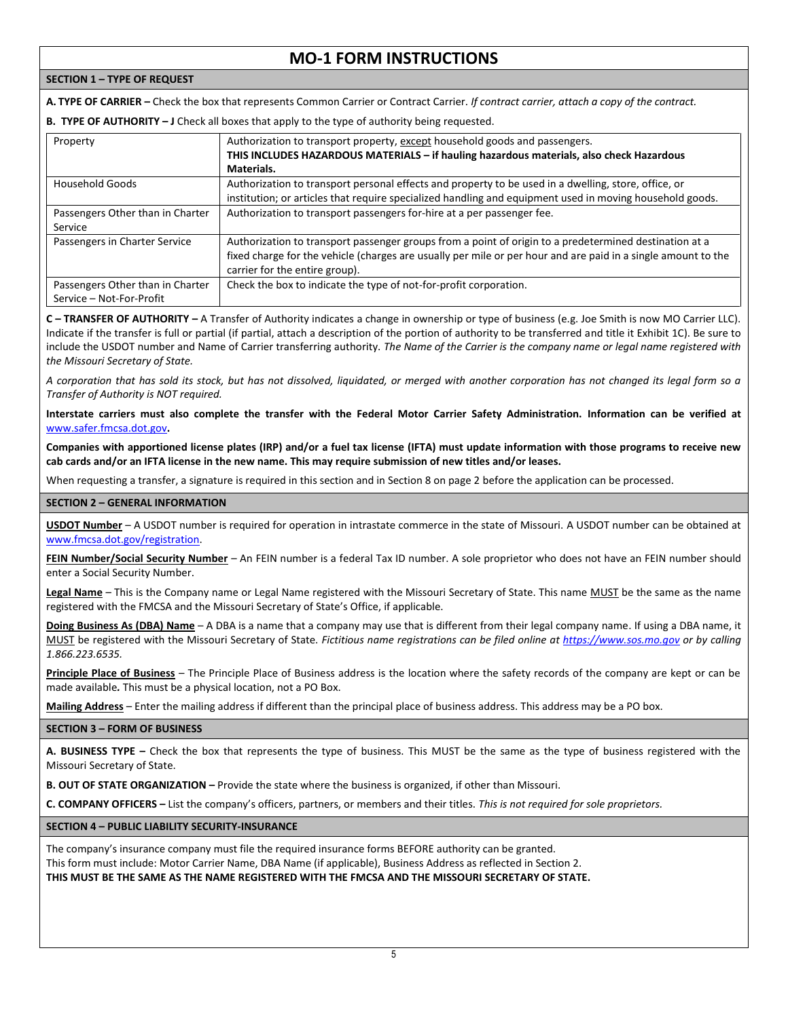# **MO-1 FORM INSTRUCTIONS**

# **SECTION 1 – TYPE OF REQUEST**

**A. TYPE OF CARRIER –** Check the box that represents Common Carrier or Contract Carrier. *If contract carrier, attach a copy of the contract.*

# **B. TYPE OF AUTHORITY – J** Check all boxes that apply to the type of authority being requested.

| Property                         | Authorization to transport property, except household goods and passengers.                                   |
|----------------------------------|---------------------------------------------------------------------------------------------------------------|
|                                  | THIS INCLUDES HAZARDOUS MATERIALS - if hauling hazardous materials, also check Hazardous                      |
|                                  | Materials.                                                                                                    |
| Household Goods                  | Authorization to transport personal effects and property to be used in a dwelling, store, office, or          |
|                                  | institution; or articles that require specialized handling and equipment used in moving household goods.      |
| Passengers Other than in Charter | Authorization to transport passengers for-hire at a per passenger fee.                                        |
| Service                          |                                                                                                               |
| Passengers in Charter Service    | Authorization to transport passenger groups from a point of origin to a predetermined destination at a        |
|                                  | fixed charge for the vehicle (charges are usually per mile or per hour and are paid in a single amount to the |
|                                  | carrier for the entire group).                                                                                |
| Passengers Other than in Charter | Check the box to indicate the type of not-for-profit corporation.                                             |
| Service - Not-For-Profit         |                                                                                                               |

**C – TRANSFER OF AUTHORITY –** A Transfer of Authority indicates a change in ownership or type of business (e.g. Joe Smith is now MO Carrier LLC). Indicate if the transfer is full or partial (if partial, attach a description of the portion of authority to be transferred and title it Exhibit 1C). Be sure to include the USDOT number and Name of Carrier transferring authority. *The Name of the Carrier is the company name or legal name registered with the Missouri Secretary of State.*

*A corporation that has sold its stock, but has not dissolved, liquidated, or merged with another corporation has not changed its legal form so a Transfer of Authority is NOT required.*

**Interstate carriers must also complete the transfer with the Federal Motor Carrier Safety Administration. Information can be verified at**  [www.safer.fmcsa.dot.gov](file:///C:/Users/rickaa1/Desktop/Forms/www.safer.fmcsa.dot.gov)**.**

**Companies with apportioned license plates (IRP) and/or a fuel tax license (IFTA) must update information with those programs to receive new cab cards and/or an IFTA license in the new name. This may require submission of new titles and/or leases.**

When requesting a transfer, a signature is required in this section and in Section 8 on page 2 before the application can be processed.

# **SECTION 2 – GENERAL INFORMATION**

**USDOT Number** – A USDOT number is required for operation in intrastate commerce in the state of Missouri. A USDOT number can be obtained at [www.fmcsa.dot.gov/registration.](http://www.fmcsa.dot.gov/registration)

**FEIN Number/Social Security Number** – An FEIN number is a federal Tax ID number. A sole proprietor who does not have an FEIN number should enter a Social Security Number.

**Legal Name** – This is the Company name or Legal Name registered with the Missouri Secretary of State. This name MUST be the same as the name registered with the FMCSA and the Missouri Secretary of State's Office, if applicable.

**Doing Business As (DBA) Name** – A DBA is a name that a company may use that is different from their legal company name. If using a DBA name, it MUST be registered with the Missouri Secretary of State. *Fictitious name registrations can be filed online a[t https://www.sos.mo.gov](https://www.sos.mo.gov/) or by calling 1.866.223.6535.*

**Principle Place of Business** – The Principle Place of Business address is the location where the safety records of the company are kept or can be made available*.* This must be a physical location, not a PO Box.

**Mailing Address** – Enter the mailing address if different than the principal place of business address. This address may be a PO box.

### **SECTION 3 – FORM OF BUSINESS**

**A. BUSINESS TYPE –** Check the box that represents the type of business. This MUST be the same as the type of business registered with the Missouri Secretary of State.

**B. OUT OF STATE ORGANIZATION –** Provide the state where the business is organized, if other than Missouri.

**C. COMPANY OFFICERS –** List the company's officers, partners, or members and their titles. *This is not required for sole proprietors.*

**SECTION 4 – PUBLIC LIABILITY SECURITY-INSURANCE**

The company's insurance company must file the required insurance forms BEFORE authority can be granted. This form must include: Motor Carrier Name, DBA Name (if applicable), Business Address as reflected in Section 2. **THIS MUST BE THE SAME AS THE NAME REGISTERED WITH THE FMCSA AND THE MISSOURI SECRETARY OF STATE.**